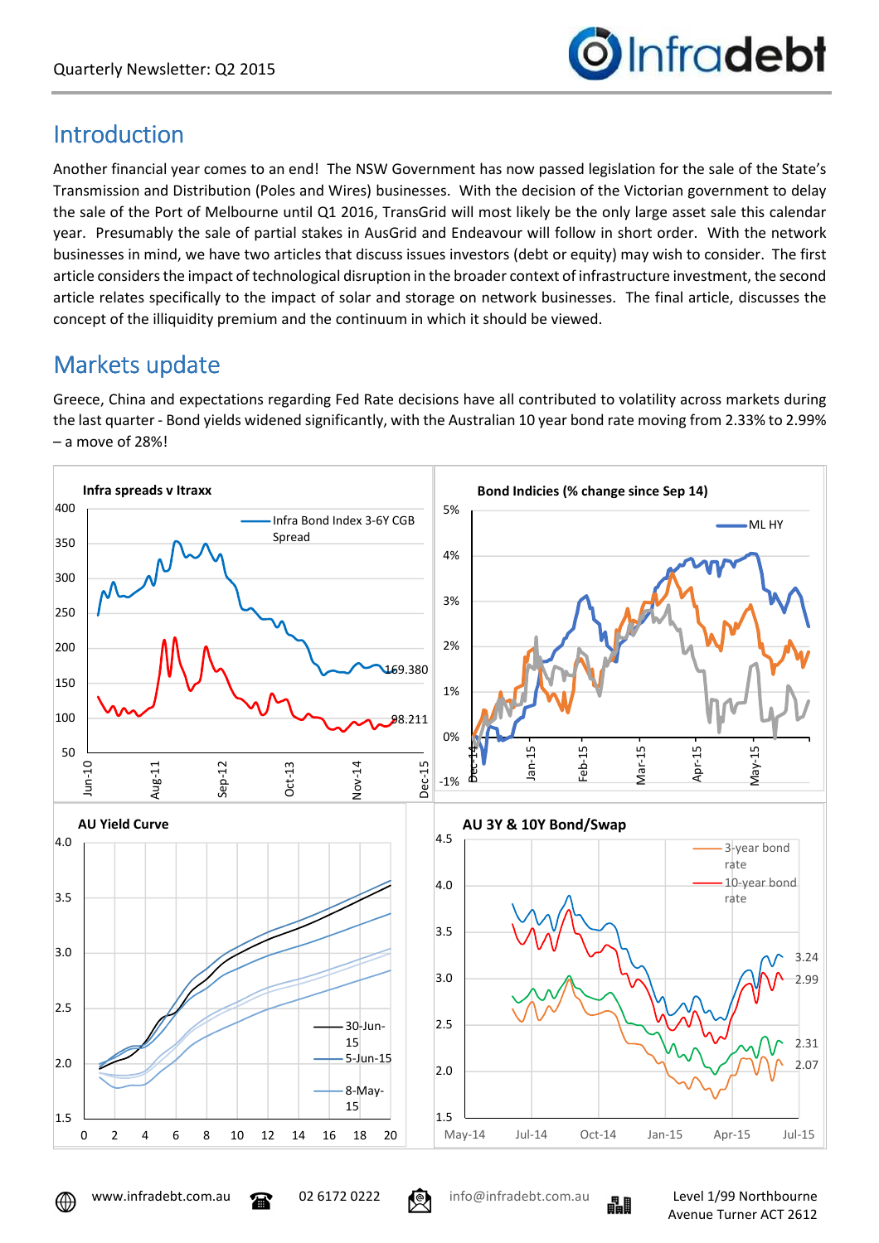

### Introduction

Another financial year comes to an end! The NSW Government has now passed legislation for the sale of the State's Transmission and Distribution (Poles and Wires) businesses. With the decision of the Victorian government to delay the sale of the Port of Melbourne until Q1 2016, TransGrid will most likely be the only large asset sale this calendar year. Presumably the sale of partial stakes in AusGrid and Endeavour will follow in short order. With the network businesses in mind, we have two articles that discuss issues investors (debt or equity) may wish to consider. The first article considers the impact of technological disruption in the broader context of infrastructure investment, the second article relates specifically to the impact of solar and storage on network businesses. The final article, discusses the concept of the illiquidity premium and the continuum in which it should be viewed.

## Markets update

Greece, China and expectations regarding Fed Rate decisions have all contributed to volatility across markets during the last quarter - Bond yields widened significantly, with the Australian 10 year bond rate moving from 2.33% to 2.99% – a move of 28%!





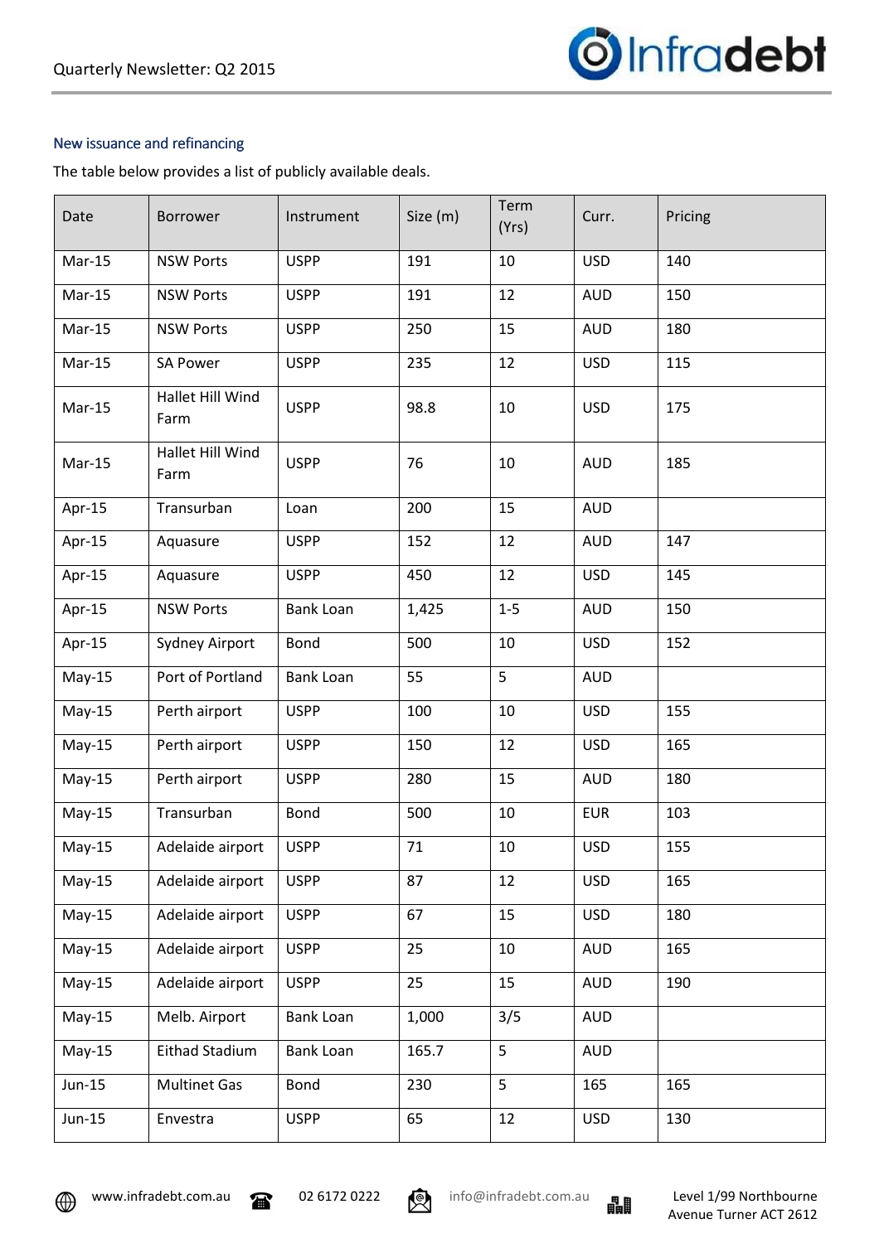

#### New issuance and refinancing

The table below provides a list of publicly available deals.

| Date     | <b>Borrower</b>          | Instrument       | Size (m) | Term<br>(Yrs) | Curr.      | Pricing |
|----------|--------------------------|------------------|----------|---------------|------------|---------|
| Mar-15   | <b>NSW Ports</b>         | <b>USPP</b>      | 191      | 10            | <b>USD</b> | 140     |
| Mar-15   | <b>NSW Ports</b>         | <b>USPP</b>      | 191      | 12            | <b>AUD</b> | 150     |
| Mar-15   | <b>NSW Ports</b>         | <b>USPP</b>      | 250      | 15            | <b>AUD</b> | 180     |
| Mar-15   | <b>SA Power</b>          | <b>USPP</b>      | 235      | 12            | <b>USD</b> | 115     |
| Mar-15   | Hallet Hill Wind<br>Farm | <b>USPP</b>      | 98.8     | 10            | <b>USD</b> | 175     |
| Mar-15   | Hallet Hill Wind<br>Farm | <b>USPP</b>      | 76       | 10            | <b>AUD</b> | 185     |
| Apr-15   | Transurban               | Loan             | 200      | 15            | <b>AUD</b> |         |
| Apr-15   | Aquasure                 | <b>USPP</b>      | 152      | 12            | <b>AUD</b> | 147     |
| Apr-15   | Aquasure                 | <b>USPP</b>      | 450      | 12            | <b>USD</b> | 145     |
| Apr-15   | <b>NSW Ports</b>         | <b>Bank Loan</b> | 1,425    | $1-5$         | <b>AUD</b> | 150     |
| Apr-15   | Sydney Airport           | Bond             | 500      | 10            | <b>USD</b> | 152     |
| $May-15$ | Port of Portland         | <b>Bank Loan</b> | 55       | 5             | <b>AUD</b> |         |
| $May-15$ | Perth airport            | <b>USPP</b>      | 100      | 10            | <b>USD</b> | 155     |
| $May-15$ | Perth airport            | <b>USPP</b>      | 150      | 12            | <b>USD</b> | 165     |
| $May-15$ | Perth airport            | <b>USPP</b>      | 280      | 15            | <b>AUD</b> | 180     |
| $May-15$ | Transurban               | Bond             | 500      | 10            | <b>EUR</b> | 103     |
| $May-15$ | Adelaide airport         | <b>USPP</b>      | 71       | 10            | <b>USD</b> | 155     |
| $May-15$ | Adelaide airport         | <b>USPP</b>      | 87       | 12            | <b>USD</b> | 165     |
| $May-15$ | Adelaide airport         | <b>USPP</b>      | 67       | 15            | <b>USD</b> | 180     |
| $May-15$ | Adelaide airport         | <b>USPP</b>      | 25       | 10            | <b>AUD</b> | 165     |
| $May-15$ | Adelaide airport         | <b>USPP</b>      | 25       | 15            | <b>AUD</b> | 190     |
| $May-15$ | Melb. Airport            | <b>Bank Loan</b> | 1,000    | 3/5           | <b>AUD</b> |         |
| $May-15$ | Eithad Stadium           | <b>Bank Loan</b> | 165.7    | 5             | <b>AUD</b> |         |
| Jun-15   | <b>Multinet Gas</b>      | Bond             | 230      | 5             | 165        | 165     |
| Jun-15   | Envestra                 | <b>USPP</b>      | 65       | 12            | <b>USD</b> | 130     |

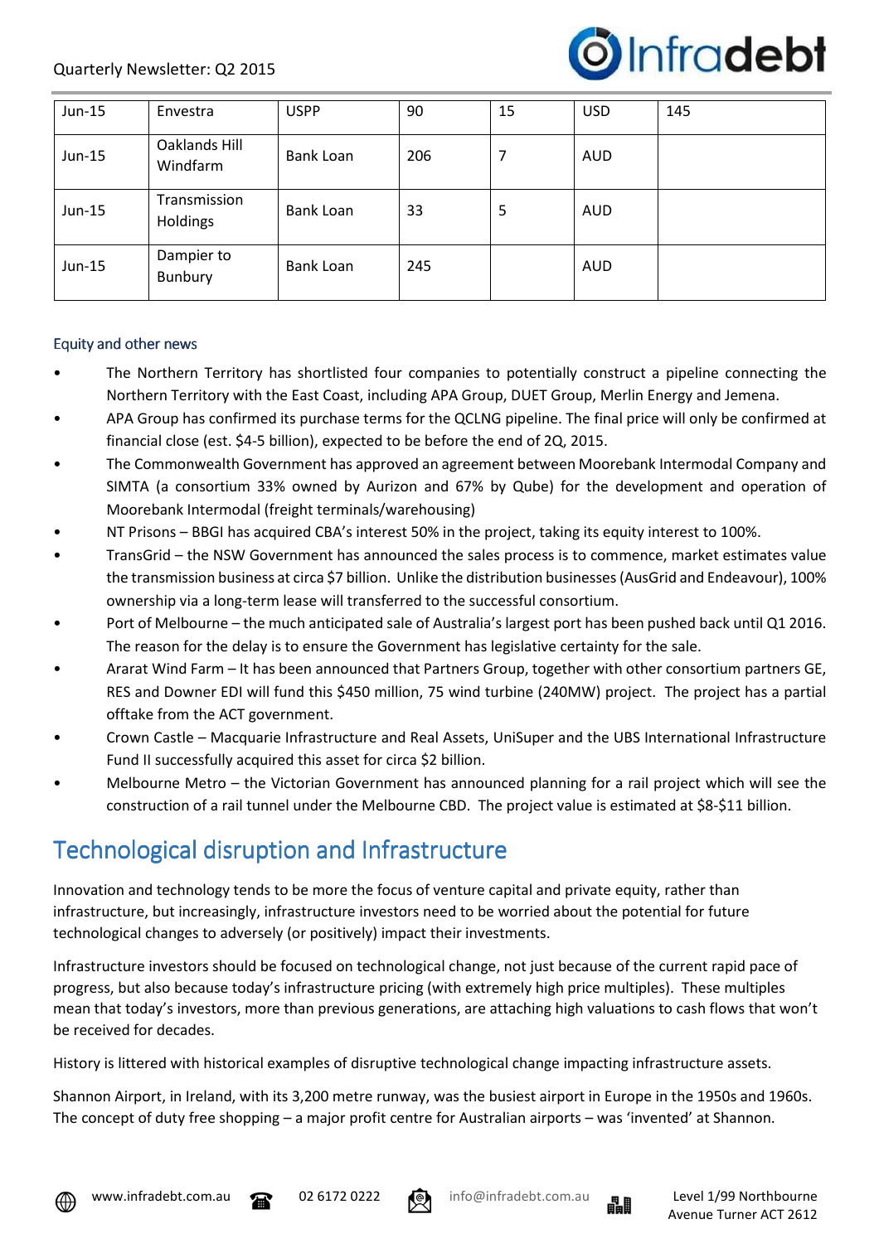

| $Jun-15$ | Envestra                  | <b>USPP</b> | 90  | 15 | <b>USD</b> | 145 |
|----------|---------------------------|-------------|-----|----|------------|-----|
| $Jun-15$ | Oaklands Hill<br>Windfarm | Bank Loan   | 206 | 7  | <b>AUD</b> |     |
| $Jun-15$ | Transmission<br>Holdings  | Bank Loan   | 33  | 5  | <b>AUD</b> |     |
| $Jun-15$ | Dampier to<br>Bunbury     | Bank Loan   | 245 |    | <b>AUD</b> |     |

#### Equity and other news

- The Northern Territory has shortlisted four companies to potentially construct a pipeline connecting the Northern Territory with the East Coast, including APA Group, DUET Group, Merlin Energy and Jemena.
- APA Group has confirmed its purchase terms for the QCLNG pipeline. The final price will only be confirmed at financial close (est. \$4-5 billion), expected to be before the end of 2Q, 2015.
- The Commonwealth Government has approved an agreement between Moorebank Intermodal Company and SIMTA (a consortium 33% owned by Aurizon and 67% by Qube) for the development and operation of Moorebank Intermodal (freight terminals/warehousing)
- NT Prisons BBGI has acquired CBA's interest 50% in the project, taking its equity interest to 100%.
- TransGrid the NSW Government has announced the sales process is to commence, market estimates value the transmission business at circa \$7 billion. Unlike the distribution businesses (AusGrid and Endeavour), 100% ownership via a long-term lease will transferred to the successful consortium.
- Port of Melbourne the much anticipated sale of Australia's largest port has been pushed back until Q1 2016. The reason for the delay is to ensure the Government has legislative certainty for the sale.
- Ararat Wind Farm It has been announced that Partners Group, together with other consortium partners GE, RES and Downer EDI will fund this \$450 million, 75 wind turbine (240MW) project. The project has a partial offtake from the ACT government.
- Crown Castle Macquarie Infrastructure and Real Assets, UniSuper and the UBS International Infrastructure Fund II successfully acquired this asset for circa \$2 billion.
- Melbourne Metro the Victorian Government has announced planning for a rail project which will see the construction of a rail tunnel under the Melbourne CBD. The project value is estimated at \$8-\$11 billion.

### Technological disruption and Infrastructure

Innovation and technology tends to be more the focus of venture capital and private equity, rather than infrastructure, but increasingly, infrastructure investors need to be worried about the potential for future technological changes to adversely (or positively) impact their investments.

Infrastructure investors should be focused on technological change, not just because of the current rapid pace of progress, but also because today's infrastructure pricing (with extremely high price multiples). These multiples mean that today's investors, more than previous generations, are attaching high valuations to cash flows that won't be received for decades.

History is littered with historical examples of disruptive technological change impacting infrastructure assets.

Shannon Airport, in Ireland, with its 3,200 metre runway, was the busiest airport in Europe in the 1950s and 1960s. The concept of duty free shopping – a major profit centre for Australian airports – was 'invented' at Shannon.





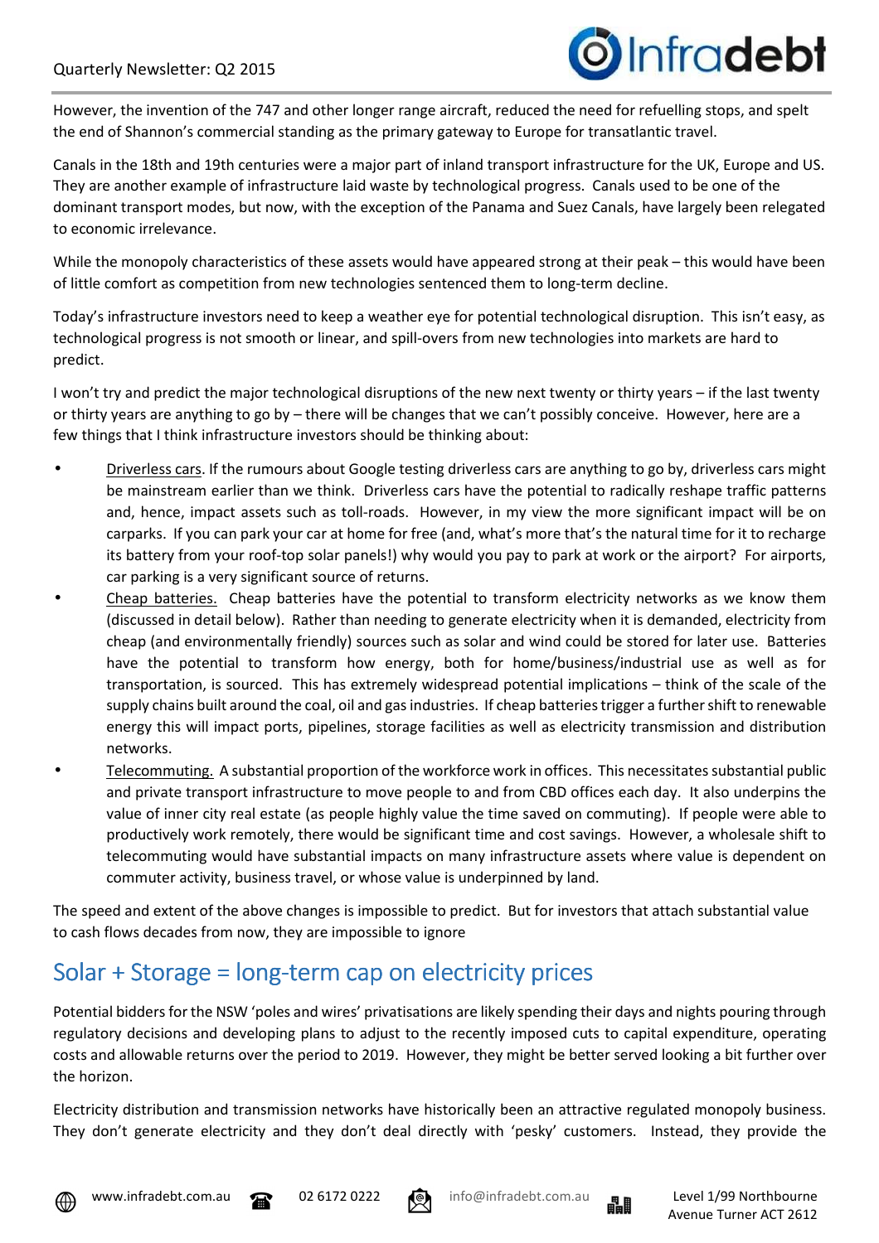

However, the invention of the 747 and other longer range aircraft, reduced the need for refuelling stops, and spelt the end of Shannon's commercial standing as the primary gateway to Europe for transatlantic travel.

Canals in the 18th and 19th centuries were a major part of inland transport infrastructure for the UK, Europe and US. They are another example of infrastructure laid waste by technological progress. Canals used to be one of the dominant transport modes, but now, with the exception of the Panama and Suez Canals, have largely been relegated to economic irrelevance.

While the monopoly characteristics of these assets would have appeared strong at their peak – this would have been of little comfort as competition from new technologies sentenced them to long-term decline.

Today's infrastructure investors need to keep a weather eye for potential technological disruption. This isn't easy, as technological progress is not smooth or linear, and spill-overs from new technologies into markets are hard to predict.

I won't try and predict the major technological disruptions of the new next twenty or thirty years – if the last twenty or thirty years are anything to go by – there will be changes that we can't possibly conceive. However, here are a few things that I think infrastructure investors should be thinking about:

- Driverless cars. If the rumours about Google testing driverless cars are anything to go by, driverless cars might be mainstream earlier than we think. Driverless cars have the potential to radically reshape traffic patterns and, hence, impact assets such as toll-roads. However, in my view the more significant impact will be on carparks. If you can park your car at home for free (and, what's more that's the natural time for it to recharge its battery from your roof-top solar panels!) why would you pay to park at work or the airport? For airports, car parking is a very significant source of returns.
- Cheap batteries. Cheap batteries have the potential to transform electricity networks as we know them (discussed in detail below). Rather than needing to generate electricity when it is demanded, electricity from cheap (and environmentally friendly) sources such as solar and wind could be stored for later use. Batteries have the potential to transform how energy, both for home/business/industrial use as well as for transportation, is sourced. This has extremely widespread potential implications – think of the scale of the supply chains built around the coal, oil and gas industries. If cheap batteries trigger a further shift to renewable energy this will impact ports, pipelines, storage facilities as well as electricity transmission and distribution networks.
- Telecommuting. A substantial proportion of the workforce work in offices. This necessitates substantial public and private transport infrastructure to move people to and from CBD offices each day. It also underpins the value of inner city real estate (as people highly value the time saved on commuting). If people were able to productively work remotely, there would be significant time and cost savings. However, a wholesale shift to telecommuting would have substantial impacts on many infrastructure assets where value is dependent on commuter activity, business travel, or whose value is underpinned by land.

The speed and extent of the above changes is impossible to predict. But for investors that attach substantial value to cash flows decades from now, they are impossible to ignore

### Solar + Storage = long-term cap on electricity prices

Potential bidders for the NSW 'poles and wires' privatisations are likely spending their days and nights pouring through regulatory decisions and developing plans to adjust to the recently imposed cuts to capital expenditure, operating costs and allowable returns over the period to 2019. However, they might be better served looking a bit further over the horizon.

Electricity distribution and transmission networks have historically been an attractive regulated monopoly business. They don't generate electricity and they don't deal directly with 'pesky' customers. Instead, they provide the





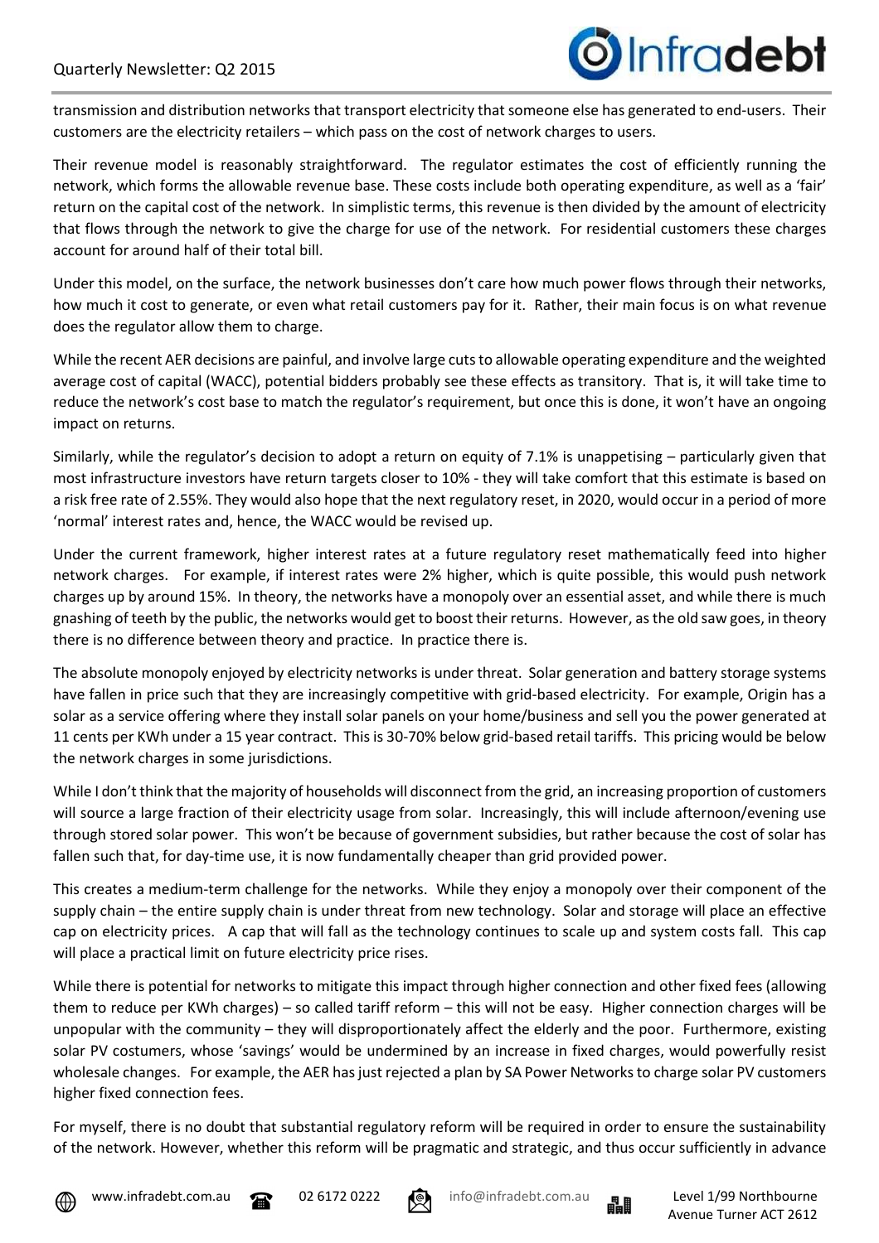transmission and distribution networks that transport electricity that someone else has generated to end-users. Their customers are the electricity retailers – which pass on the cost of network charges to users.

Their revenue model is reasonably straightforward. The regulator estimates the cost of efficiently running the network, which forms the allowable revenue base. These costs include both operating expenditure, as well as a 'fair' return on the capital cost of the network. In simplistic terms, this revenue is then divided by the amount of electricity that flows through the network to give the charge for use of the network. For residential customers these charges account for around half of their total bill.

Under this model, on the surface, the network businesses don't care how much power flows through their networks, how much it cost to generate, or even what retail customers pay for it. Rather, their main focus is on what revenue does the regulator allow them to charge.

While the recent AER decisions are painful, and involve large cuts to allowable operating expenditure and the weighted average cost of capital (WACC), potential bidders probably see these effects as transitory. That is, it will take time to reduce the network's cost base to match the regulator's requirement, but once this is done, it won't have an ongoing impact on returns.

Similarly, while the regulator's decision to adopt a return on equity of 7.1% is unappetising – particularly given that most infrastructure investors have return targets closer to 10% - they will take comfort that this estimate is based on a risk free rate of 2.55%. They would also hope that the next regulatory reset, in 2020, would occur in a period of more 'normal' interest rates and, hence, the WACC would be revised up.

Under the current framework, higher interest rates at a future regulatory reset mathematically feed into higher network charges. For example, if interest rates were 2% higher, which is quite possible, this would push network charges up by around 15%. In theory, the networks have a monopoly over an essential asset, and while there is much gnashing of teeth by the public, the networks would get to boost their returns. However, as the old saw goes, in theory there is no difference between theory and practice. In practice there is.

The absolute monopoly enjoyed by electricity networks is under threat. Solar generation and battery storage systems have fallen in price such that they are increasingly competitive with grid-based electricity. For example, Origin has a solar as a service offering where they install solar panels on your home/business and sell you the power generated at 11 cents per KWh under a 15 year contract. This is 30-70% below grid-based retail tariffs. This pricing would be below the network charges in some jurisdictions.

While I don't think that the majority of households will disconnect from the grid, an increasing proportion of customers will source a large fraction of their electricity usage from solar. Increasingly, this will include afternoon/evening use through stored solar power. This won't be because of government subsidies, but rather because the cost of solar has fallen such that, for day-time use, it is now fundamentally cheaper than grid provided power.

This creates a medium-term challenge for the networks. While they enjoy a monopoly over their component of the supply chain – the entire supply chain is under threat from new technology. Solar and storage will place an effective cap on electricity prices. A cap that will fall as the technology continues to scale up and system costs fall. This cap will place a practical limit on future electricity price rises.

While there is potential for networks to mitigate this impact through higher connection and other fixed fees (allowing them to reduce per KWh charges) – so called tariff reform – this will not be easy. Higher connection charges will be unpopular with the community – they will disproportionately affect the elderly and the poor. Furthermore, existing solar PV costumers, whose 'savings' would be undermined by an increase in fixed charges, would powerfully resist wholesale changes. For example, the AER has just rejected a plan by SA Power Networks to charge solar PV customers higher fixed connection fees.

For myself, there is no doubt that substantial regulatory reform will be required in order to ensure the sustainability of the network. However, whether this reform will be pragmatic and strategic, and thus occur sufficiently in advance







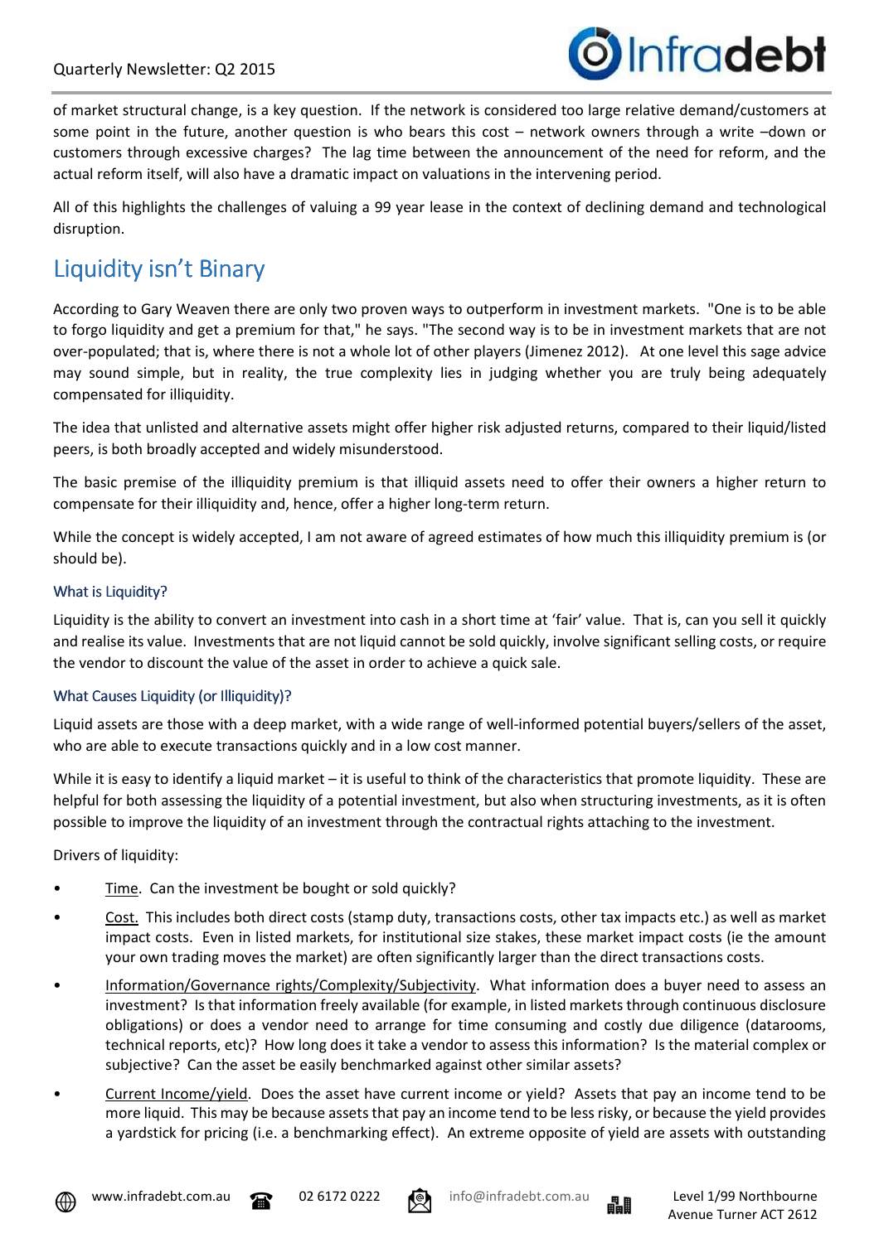

of market structural change, is a key question. If the network is considered too large relative demand/customers at some point in the future, another question is who bears this cost – network owners through a write –down or customers through excessive charges? The lag time between the announcement of the need for reform, and the actual reform itself, will also have a dramatic impact on valuations in the intervening period.

All of this highlights the challenges of valuing a 99 year lease in the context of declining demand and technological disruption.

# Liquidity isn't Binary

According to Gary Weaven there are only two proven ways to outperform in investment markets. "One is to be able to forgo liquidity and get a premium for that," he says. "The second way is to be in investment markets that are not over-populated; that is, where there is not a whole lot of other players (Jimenez 2012). At one level this sage advice may sound simple, but in reality, the true complexity lies in judging whether you are truly being adequately compensated for illiquidity.

The idea that unlisted and alternative assets might offer higher risk adjusted returns, compared to their liquid/listed peers, is both broadly accepted and widely misunderstood.

The basic premise of the illiquidity premium is that illiquid assets need to offer their owners a higher return to compensate for their illiquidity and, hence, offer a higher long-term return.

While the concept is widely accepted, I am not aware of agreed estimates of how much this illiquidity premium is (or should be).

#### What is Liquidity?

Liquidity is the ability to convert an investment into cash in a short time at 'fair' value. That is, can you sell it quickly and realise its value. Investments that are not liquid cannot be sold quickly, involve significant selling costs, or require the vendor to discount the value of the asset in order to achieve a quick sale.

#### What Causes Liquidity (or Illiquidity)?

Liquid assets are those with a deep market, with a wide range of well-informed potential buyers/sellers of the asset, who are able to execute transactions quickly and in a low cost manner.

While it is easy to identify a liquid market – it is useful to think of the characteristics that promote liquidity. These are helpful for both assessing the liquidity of a potential investment, but also when structuring investments, as it is often possible to improve the liquidity of an investment through the contractual rights attaching to the investment.

Drivers of liquidity:

- Time. Can the investment be bought or sold quickly?
- Cost. This includes both direct costs (stamp duty, transactions costs, other tax impacts etc.) as well as market impact costs. Even in listed markets, for institutional size stakes, these market impact costs (ie the amount your own trading moves the market) are often significantly larger than the direct transactions costs.
- Information/Governance rights/Complexity/Subjectivity. What information does a buyer need to assess an investment? Is that information freely available (for example, in listed markets through continuous disclosure obligations) or does a vendor need to arrange for time consuming and costly due diligence (datarooms, technical reports, etc)? How long does it take a vendor to assess this information? Is the material complex or subjective? Can the asset be easily benchmarked against other similar assets?
- Current Income/yield. Does the asset have current income or yield? Assets that pay an income tend to be more liquid. This may be because assets that pay an income tend to be less risky, or because the yield provides a yardstick for pricing (i.e. a benchmarking effect). An extreme opposite of yield are assets with outstanding





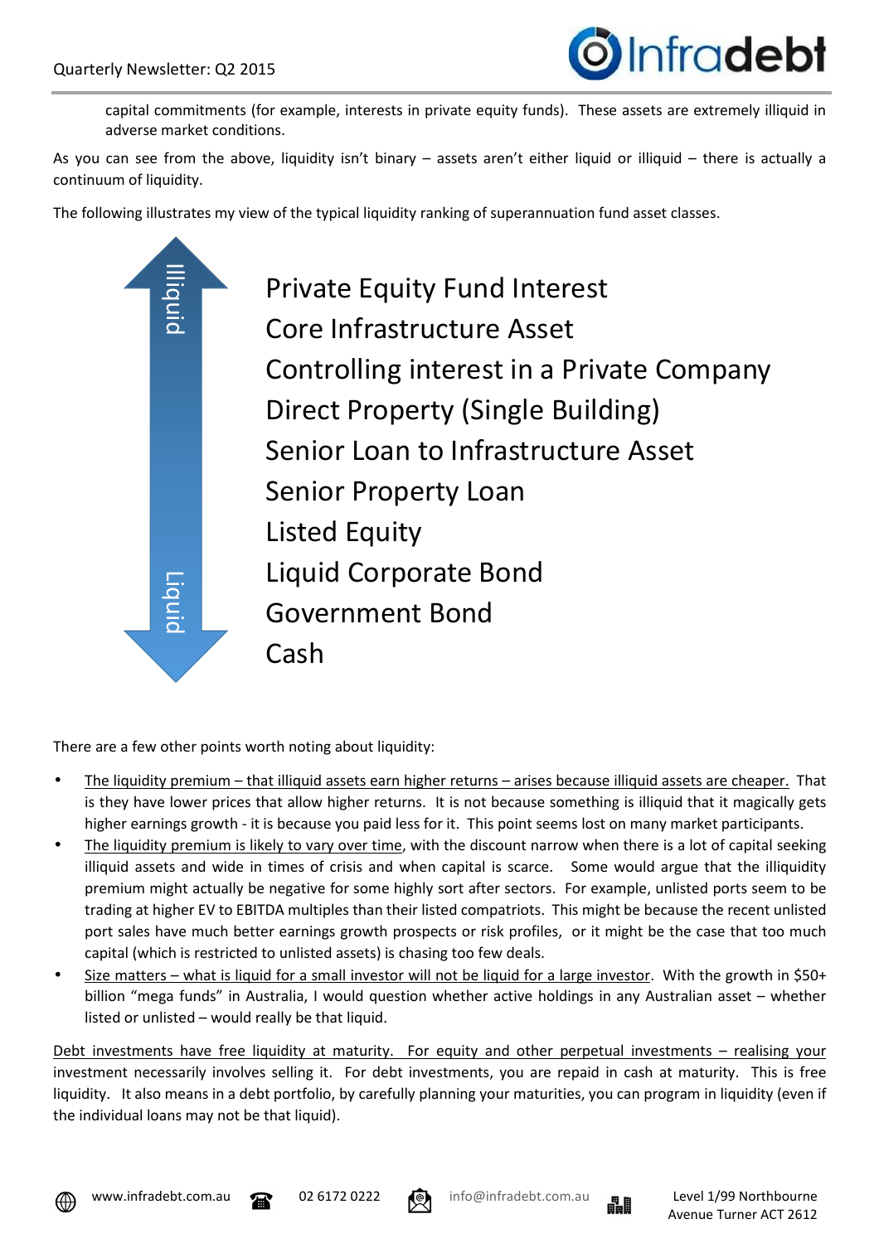

capital commitments (for example, interests in private equity funds). These assets are extremely illiquid in adverse market conditions.

As you can see from the above, liquidity isn't binary – assets aren't either liquid or illiquid – there is actually a continuum of liquidity.

The following illustrates my view of the typical liquidity ranking of superannuation fund asset classes.



There are a few other points worth noting about liquidity:

- The liquidity premium that illiquid assets earn higher returns arises because illiquid assets are cheaper. That is they have lower prices that allow higher returns. It is not because something is illiquid that it magically gets higher earnings growth - it is because you paid less for it. This point seems lost on many market participants.
- The liquidity premium is likely to vary over time, with the discount narrow when there is a lot of capital seeking illiquid assets and wide in times of crisis and when capital is scarce. Some would argue that the illiquidity premium might actually be negative for some highly sort after sectors. For example, unlisted ports seem to be trading at higher EV to EBITDA multiples than their listed compatriots. This might be because the recent unlisted port sales have much better earnings growth prospects or risk profiles, or it might be the case that too much capital (which is restricted to unlisted assets) is chasing too few deals.
- Size matters what is liquid for a small investor will not be liquid for a large investor. With the growth in \$50+ billion "mega funds" in Australia, I would question whether active holdings in any Australian asset – whether listed or unlisted – would really be that liquid.

Debt investments have free liquidity at maturity. For equity and other perpetual investments – realising your investment necessarily involves selling it. For debt investments, you are repaid in cash at maturity. This is free liquidity. It also means in a debt portfolio, by carefully planning your maturities, you can program in liquidity (even if